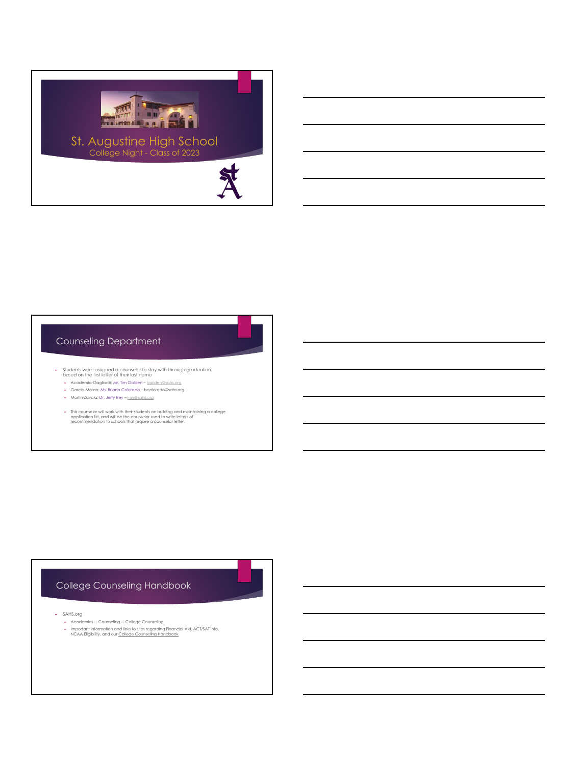

## Counseling Department

- ► Students were assigned a counselor to stay with through graduation, based on the first letter of their last name
	- ► Academia-Gagliardi: Mr. Tim Golden – [tgolden@sahs.org](mailto:tgolden@sahs.org)
	- ► Garcia-Moran: Ms. Briana Colorado bcolorado@sahs.org
	- ► Morfin-Zavala: Dr. Jerry Rey – [jrey@sahs.org](mailto:jrey@sahs.org)
	- ► This counselor will work with their students on building and maintaining a college application list, and will be the counselor used to write letters of recommendation to schools that require a counselor letter.

## College Counseling Handbook

- ► SAHS.org
	- ► Academics Counseling College Counseling
	- ► Important information and links to sites regarding Financial Aid, ACT/SAT info, NCAA Eligibility, and our College Counseling Handbook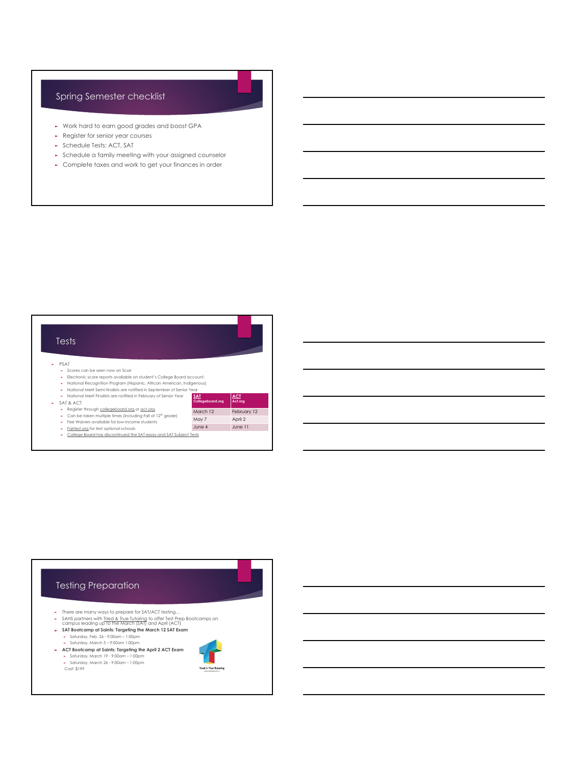## Spring Semester checklist

- ► Work hard to earn good grades and boost GPA
- ► Register for senior year courses
- ► Schedule Tests: ACT, SAT
- ► Schedule a family meeting with your assigned counselor
- ► Complete taxes and work to get your finances in order



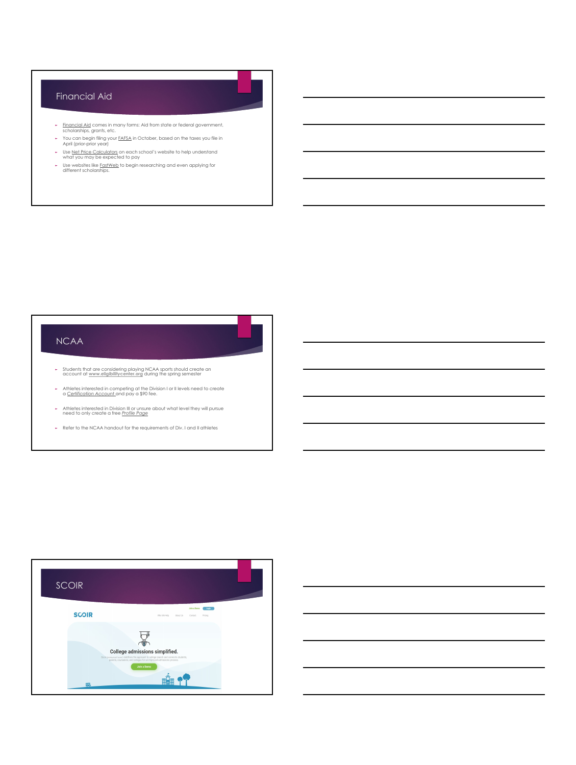# Financial Aid

- ► Financial Aid comes in many forms: Aid from state or federal government, scholarships, grants, etc.
- ► You can begin filing your FAFSA in October, based on the taxes you file in April (prior-prior year)
- ► Use Net Price Calculators on each school's website to help understand what you may be expected to pay
- ► Use websites like FastWeb to begin researching and even applying for different scholarships.

## **NCAA**

- ► Students th[at are considering playing](http://www.eligibilitycenter.org/) NCAA sports should create an account at**www.eligibilitycenter.org** during the spring semester
- ► Athletes interested in competing at the Division I or II levels need to create a *Certification Account* and pay a \$90 fee.
- ► Athletes interested in Division III or unsure about what level they will pursue need to only create a free *Profile Page*
- ► Refer to the NCAA handout for the requirements of Div. I and II athletes



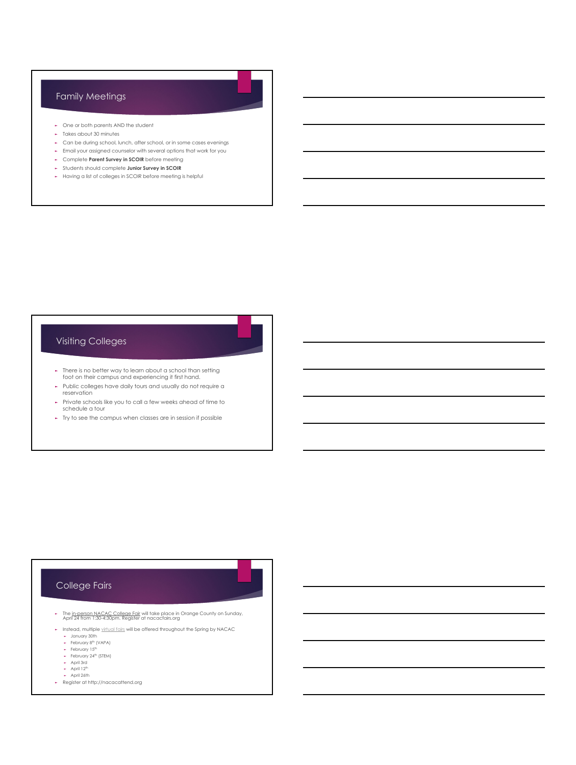## Family Meetings

- ► One or both parents AND the student
- ► Takes about 30 minutes
- ► Can be during school, lunch, after school, or in some cases evenings
- ► Email your assigned counselor with several options that work for you
- ► Complete **Parent Survey in SCOIR** before meeting
- ► Students should complete **Junior Survey in SCOIR**
- ► Having a list of colleges in SCOIR before meeting is helpful

## Visiting Colleges

- ► There is no better way to learn about a school than setting foot on their campus and experiencing it first hand.
- ► Public colleges have daily tours and usually do not require a reservation
- ► Private schools like you to call a few weeks ahead of time to schedule a tour
- ► Try to see the campus when classes are in session if possible

## College Fairs

- ► The in-person NACAC College Fair will take place in Orange County on Sunday, April 24 from 1:30-4:30pm. Register at nacacfairs.org
- ► Instead, multiple [virtual fairs](https://www.nacacattend.org/fairs) will be offered throughout the Spring by NACAC
	-
	- ► January 30th<br>► February 8<sup>th</sup> (VAPA)<br>► February 15<sup>th</sup>
	- ► February 24th (STEM)
	- ► April 3rd<br>► April 12<sup>th</sup>
	- ► April 26th
- ► Register at http://nacacattend.org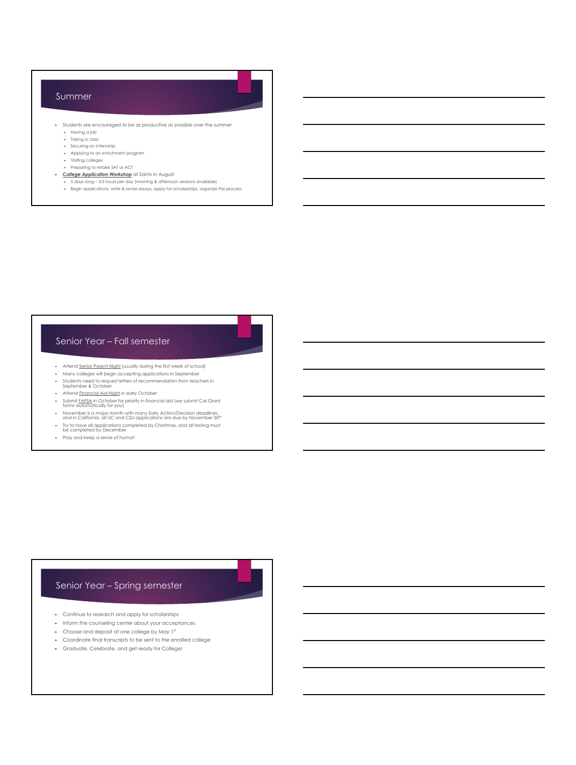#### Summer

- ► Students are encouraged to be as productive as possible over the summer
	- ► Having a job
	- ► Taking a class ► Securing an internship
	- ► Applying to an enrichment program
	- ► Visiting colleges
	- ► Preparing to retake SAT or ACT
- ► *College Application Workshop* at Saints in August ► 5 days long 3.5 hours per day (morning & afternoon sessions available)
	- ► Begin applications, write & revise essays, apply for scholarships, organize this process
	-

#### Senior Year – Fall semester

- 
- ► Attend <u>Senior Parent Night</u> (usually during the first week of school)<br>► Many colleges will begin accepting applications in September
- ► Students need to request letters of recommendation from teachers in September & October
- ► Attend Financial Aid Night in early October
- ► Submit FAFSA in October for priority in financial aid (we submit Cal Grant forms automatically for you)
- ► November is a major month with many Early Action/Decision deadlines, and in California, all UC and CSU applications are due by November 30<sup>th</sup>
- ► Try to have all applications completed by Christmas, and all testing must be completed by December
- 
- ► Pray and keep a sense of humor!

#### Senior Year – Spring semester

- ► Continue to research and apply for scholarships
- ► Inform the counseling center about your acceptances
- ► Choose and deposit at one college by May 1st
- ► Coordinate final transcripts to be sent to the enrolled college
- ► Graduate, Celebrate, and get ready for College!